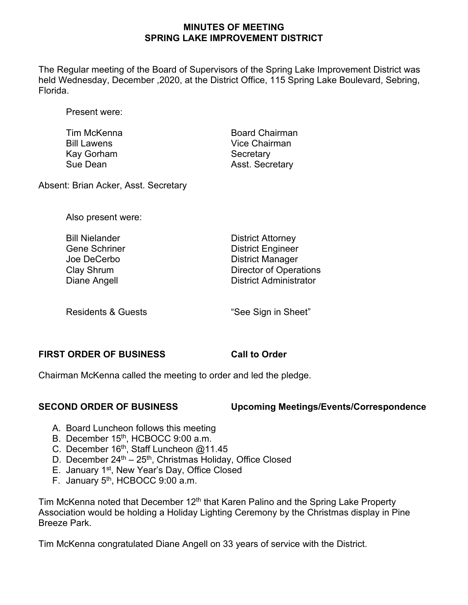## **MINUTES OF MEETING SPRING LAKE IMPROVEMENT DISTRICT**

The Regular meeting of the Board of Supervisors of the Spring Lake Improvement District was held Wednesday, December ,2020, at the District Office, 115 Spring Lake Boulevard, Sebring, Florida.

Present were:

| Tim McKenna        | <b>Board Chairman</b>  |
|--------------------|------------------------|
| <b>Bill Lawens</b> | Vice Chairman          |
| Kay Gorham         | Secretary              |
| Sue Dean           | <b>Asst. Secretary</b> |
|                    |                        |

Absent: Brian Acker, Asst. Secretary

Also present were:

| <b>Bill Nielander</b> | <b>District Attorney</b>      |
|-----------------------|-------------------------------|
| <b>Gene Schriner</b>  | <b>District Engineer</b>      |
| Joe DeCerbo           | <b>District Manager</b>       |
| Clay Shrum            | <b>Director of Operations</b> |
| Diane Angell          | <b>District Administrator</b> |
|                       |                               |

Residents & Guests **The Contract of See Sign in Sheet**"

### **FIRST ORDER OF BUSINESS Call to Order**

Chairman McKenna called the meeting to order and led the pledge.

### **SECOND ORDER OF BUSINESS Upcoming Meetings/Events/Correspondence**

- A. Board Luncheon follows this meeting
- B. December 15th, HCBOCC 9:00 a.m.
- C. December 16<sup>th</sup>, Staff Luncheon @11.45
- D. December 24<sup>th</sup> 25<sup>th</sup>, Christmas Holiday, Office Closed
- E. January 1st, New Year's Day, Office Closed
- F. January 5th, HCBOCC 9:00 a.m.

Tim McKenna noted that December 12<sup>th</sup> that Karen Palino and the Spring Lake Property Association would be holding a Holiday Lighting Ceremony by the Christmas display in Pine Breeze Park.

Tim McKenna congratulated Diane Angell on 33 years of service with the District.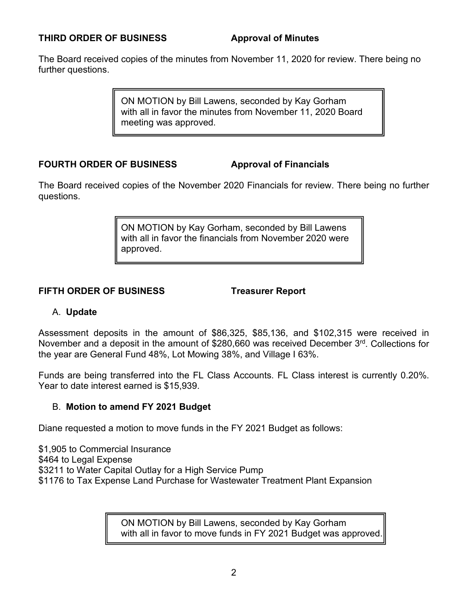### **THIRD ORDER OF BUSINESS Approval of Minutes**

The Board received copies of the minutes from November 11, 2020 for review. There being no further questions.

> ON MOTION by Bill Lawens, seconded by Kay Gorham with all in favor the minutes from November 11, 2020 Board meeting was approved.

### **FOURTH ORDER OF BUSINESS Approval of Financials**

The Board received copies of the November 2020 Financials for review. There being no further questions.

> ON MOTION by Kay Gorham, seconded by Bill Lawens with all in favor the financials from November 2020 were approved.

### **FIFTH ORDER OF BUSINESS Treasurer Report**

### A. **Update**

Assessment deposits in the amount of \$86,325, \$85,136, and \$102,315 were received in November and a deposit in the amount of \$280,660 was received December 3rd. Collections for the year are General Fund 48%, Lot Mowing 38%, and Village I 63%.

Funds are being transferred into the FL Class Accounts. FL Class interest is currently 0.20%. Year to date interest earned is \$15,939.

### B. **Motion to amend FY 2021 Budget**

Diane requested a motion to move funds in the FY 2021 Budget as follows:

\$1,905 to Commercial Insurance \$464 to Legal Expense \$3211 to Water Capital Outlay for a High Service Pump \$1176 to Tax Expense Land Purchase for Wastewater Treatment Plant Expansion

> ON MOTION by Bill Lawens, seconded by Kay Gorham with all in favor to move funds in FY 2021 Budget was approved.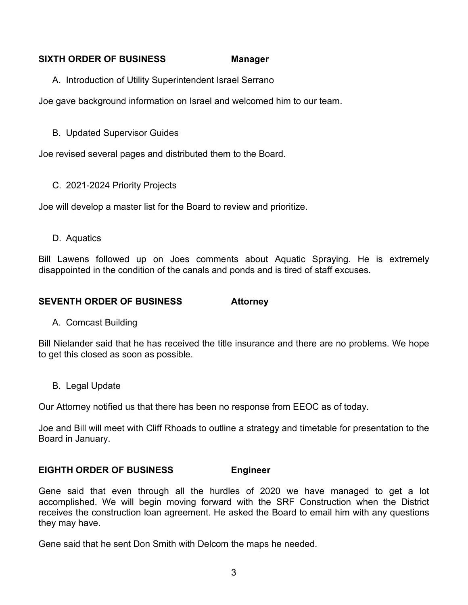## **SIXTH ORDER OF BUSINESS Manager**

A. Introduction of Utility Superintendent Israel Serrano

Joe gave background information on Israel and welcomed him to our team.

B. Updated Supervisor Guides

Joe revised several pages and distributed them to the Board.

C. 2021-2024 Priority Projects

Joe will develop a master list for the Board to review and prioritize.

D. Aquatics

Bill Lawens followed up on Joes comments about Aquatic Spraying. He is extremely disappointed in the condition of the canals and ponds and is tired of staff excuses.

# **SEVENTH ORDER OF BUSINESS Attorney**

A. Comcast Building

Bill Nielander said that he has received the title insurance and there are no problems. We hope to get this closed as soon as possible.

B. Legal Update

Our Attorney notified us that there has been no response from EEOC as of today.

Joe and Bill will meet with Cliff Rhoads to outline a strategy and timetable for presentation to the Board in January.

# **EIGHTH ORDER OF BUSINESS Engineer**

Gene said that even through all the hurdles of 2020 we have managed to get a lot accomplished. We will begin moving forward with the SRF Construction when the District receives the construction loan agreement. He asked the Board to email him with any questions they may have.

Gene said that he sent Don Smith with Delcom the maps he needed.